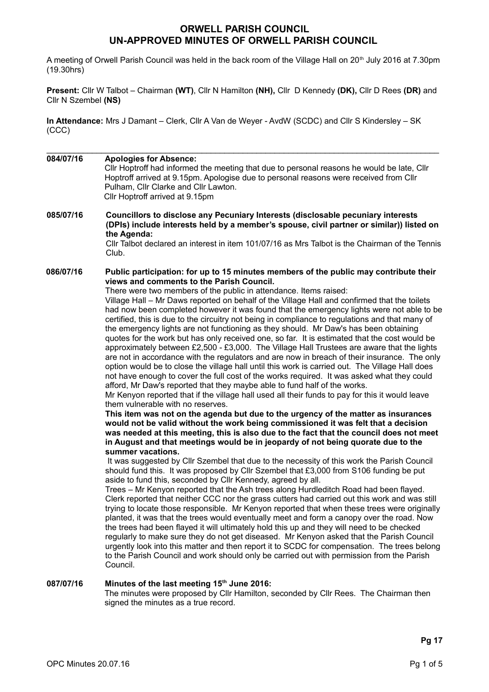# **ORWELL PARISH COUNCIL UN-APPROVED MINUTES OF ORWELL PARISH COUNCIL**

A meeting of Orwell Parish Council was held in the back room of the Village Hall on 20<sup>th</sup> July 2016 at 7.30pm (19.30hrs)

**Present:** Cllr W Talbot – Chairman **(WT)**, Cllr N Hamilton **(NH),** Cllr D Kennedy **(DK),** Cllr D Rees **(DR)** and Cllr N Szembel **(NS)**

 $\_$  . The contribution of the contribution of the contribution of the contribution of the contribution of the contribution of the contribution of the contribution of the contribution of the contribution of the contributio

**In Attendance:** Mrs J Damant – Clerk, Cllr A Van de Weyer - AvdW (SCDC) and Cllr S Kindersley – SK (CCC)

**084/07/16 Apologies for Absence:** Cllr Hoptroff had informed the meeting that due to personal reasons he would be late, Cllr Hoptroff arrived at 9.15pm. Apologise due to personal reasons were received from Cllr Pulham, Cllr Clarke and Cllr Lawton. Cllr Hoptroff arrived at 9.15pm **085/07/16 Councillors to disclose any Pecuniary Interests (disclosable pecuniary interests (DPIs) include interests held by a member's spouse, civil partner or similar)) listed on the Agenda:** Cllr Talbot declared an interest in item 101/07/16 as Mrs Talbot is the Chairman of the Tennis Club. **086/07/16 Public participation: for up to 15 minutes members of the public may contribute their views and comments to the Parish Council.** There were two members of the public in attendance. Items raised: Village Hall – Mr Daws reported on behalf of the Village Hall and confirmed that the toilets had now been completed however it was found that the emergency lights were not able to be certified, this is due to the circuitry not being in compliance to regulations and that many of the emergency lights are not functioning as they should. Mr Daw's has been obtaining quotes for the work but has only received one, so far. It is estimated that the cost would be approximately between £2,500 - £3,000. The Village Hall Trustees are aware that the lights are not in accordance with the regulators and are now in breach of their insurance. The only option would be to close the village hall until this work is carried out. The Village Hall does not have enough to cover the full cost of the works required. It was asked what they could afford, Mr Daw's reported that they maybe able to fund half of the works. Mr Kenyon reported that if the village hall used all their funds to pay for this it would leave them vulnerable with no reserves. **This item was not on the agenda but due to the urgency of the matter as insurances would not be valid without the work being commissioned it was felt that a decision was needed at this meeting, this is also due to the fact that the council does not meet in August and that meetings would be in jeopardy of not being quorate due to the summer vacations.** It was suggested by Cllr Szembel that due to the necessity of this work the Parish Council should fund this. It was proposed by Cllr Szembel that £3,000 from S106 funding be put aside to fund this, seconded by Cllr Kennedy, agreed by all. Trees – Mr Kenyon reported that the Ash trees along Hurdleditch Road had been flayed. Clerk reported that neither CCC nor the grass cutters had carried out this work and was still trying to locate those responsible. Mr Kenyon reported that when these trees were originally planted, it was that the trees would eventually meet and form a canopy over the road. Now the trees had been flayed it will ultimately hold this up and they will need to be checked regularly to make sure they do not get diseased. Mr Kenyon asked that the Parish Council urgently look into this matter and then report it to SCDC for compensation. The trees belong to the Parish Council and work should only be carried out with permission from the Parish Council. **087/07/16 Minutes of the last meeting 15th June 2016:**  The minutes were proposed by Cllr Hamilton, seconded by Cllr Rees. The Chairman then signed the minutes as a true record.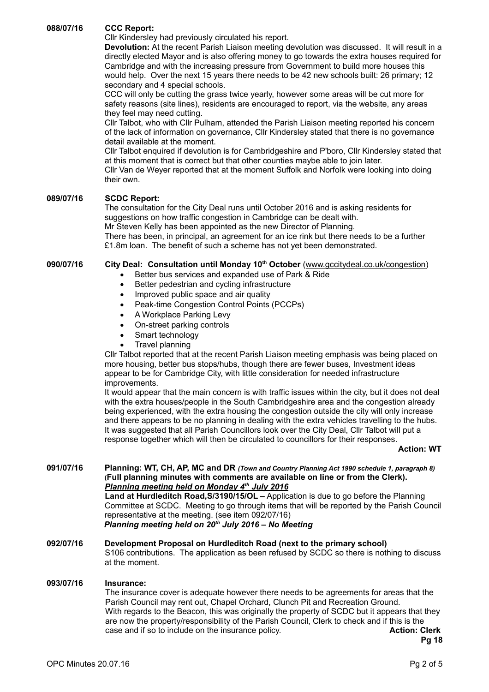**088/07/16 CCC Report:**

Cllr Kindersley had previously circulated his report.

**Devolution:** At the recent Parish Liaison meeting devolution was discussed. It will result in a directly elected Mayor and is also offering money to go towards the extra houses required for Cambridge and with the increasing pressure from Government to build more houses this would help. Over the next 15 years there needs to be 42 new schools built: 26 primary; 12 secondary and 4 special schools.

CCC will only be cutting the grass twice yearly, however some areas will be cut more for safety reasons (site lines), residents are encouraged to report, via the website, any areas they feel may need cutting.

Cllr Talbot, who with Cllr Pulham, attended the Parish Liaison meeting reported his concern of the lack of information on governance, Cllr Kindersley stated that there is no governance detail available at the moment.

Cllr Talbot enquired if devolution is for Cambridgeshire and P'boro, Cllr Kindersley stated that at this moment that is correct but that other counties maybe able to join later.

Cllr Van de Weyer reported that at the moment Suffolk and Norfolk were looking into doing their own.

### **089/07/16 SCDC Report:**

The consultation for the City Deal runs until October 2016 and is asking residents for suggestions on how traffic congestion in Cambridge can be dealt with.

Mr Steven Kelly has been appointed as the new Director of Planning.

There has been, in principal, an agreement for an ice rink but there needs to be a further £1.8m loan. The benefit of such a scheme has not yet been demonstrated.

## **090/07/16 City Deal: Consultation until Monday 10th October** [\(www.gccitydeal.co.uk/congestion\)](http://www.gccitydeal.co.uk/congestion)

- Better bus services and expanded use of Park & Ride
- Better pedestrian and cycling infrastructure
- Improved public space and air quality
- Peak-time Congestion Control Points (PCCPs)
- A Workplace Parking Levy
- On-street parking controls
- Smart technology
- Travel planning

Cllr Talbot reported that at the recent Parish Liaison meeting emphasis was being placed on more housing, better bus stops/hubs, though there are fewer buses, Investment ideas appear to be for Cambridge City, with little consideration for needed infrastructure improvements.

It would appear that the main concern is with traffic issues within the city, but it does not deal with the extra houses/people in the South Cambridgeshire area and the congestion already being experienced, with the extra housing the congestion outside the city will only increase and there appears to be no planning in dealing with the extra vehicles travelling to the hubs. It was suggested that all Parish Councillors look over the City Deal, Cllr Talbot will put a response together which will then be circulated to councillors for their responses.

#### **Action: WT**

**091/07/16 Planning: WT, CH, AP, MC and DR** *(Town and Country Planning Act 1990 schedule 1, paragraph 8)* **(Full planning minutes with comments are available on line or from the Clerk).**   *Planning meeting held on Monday 4th July 2016* **Land at Hurdleditch Road,S/3190/15/OL –** Application is due to go before the Planning Committee at SCDC. Meeting to go through items that will be reported by the Parish Council representative at the meeting. (see item 092/07/16)  *Planning meeting held on 20th July 2016 – No Meeting*

### **092/07/16 Development Proposal on Hurdleditch Road (next to the primary school)** S106 contributions. The application as been refused by SCDC so there is nothing to discuss at the moment.

#### **093/07/16 Insurance:**

The insurance cover is adequate however there needs to be agreements for areas that the Parish Council may rent out, Chapel Orchard, Clunch Pit and Recreation Ground. With regards to the Beacon, this was originally the property of SCDC but it appears that they are now the property/responsibility of the Parish Council, Clerk to check and if this is the case and if so to include on the insurance policy. **Action: Clerk**

**Pg 18**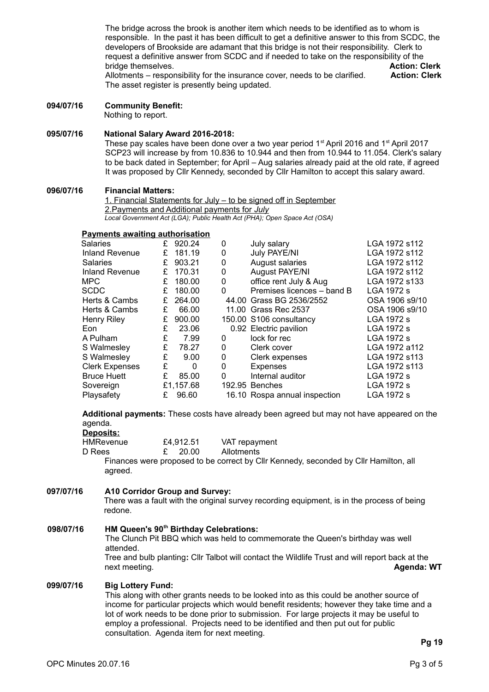The bridge across the brook is another item which needs to be identified as to whom is responsible. In the past it has been difficult to get a definitive answer to this from SCDC, the developers of Brookside are adamant that this bridge is not their responsibility. Clerk to request a definitive answer from SCDC and if needed to take on the responsibility of the bridge themselves. **Action: Clerk**

Allotments – responsibility for the insurance cover, needs to be clarified. **Action: Clerk** The asset register is presently being updated.

## **094/07/16 Community Benefit:**

Nothing to report.

#### **095/07/16 National Salary Award 2016-2018:**

These pay scales have been done over a two year period 1<sup>st</sup> April 2016 and 1<sup>st</sup> April 2017 SCP23 will increase by from 10.836 to 10.944 and then from 10.944 to 11.054. Clerk's salary to be back dated in September; for April – Aug salaries already paid at the old rate, if agreed It was proposed by Cllr Kennedy, seconded by Cllr Hamilton to accept this salary award.

## **096/07/16 Financial Matters:**

1. Financial Statements for July – to be signed off in September 2.Payments and Additional payments for *July Local Government Act (LGA); Public Health Act (PHA); Open Space Act (OSA)*

### **Payments awaiting authorisation**

| 920.24    | 0 | July salary                | LGA 1972 s112                                                                                                                                            |
|-----------|---|----------------------------|----------------------------------------------------------------------------------------------------------------------------------------------------------|
| 181.19    | 0 | July PAYE/NI               | LGA 1972 s112                                                                                                                                            |
| 903.21    | 0 | August salaries            | LGA 1972 s112                                                                                                                                            |
| 170.31    | 0 | <b>August PAYE/NI</b>      | LGA 1972 s112                                                                                                                                            |
| 180.00    | 0 | office rent July & Aug     | LGA 1972 s133                                                                                                                                            |
| 180.00    | 0 | Premises licences - band B | LGA 1972 s                                                                                                                                               |
| 264.00    |   |                            | OSA 1906 s9/10                                                                                                                                           |
| 66.00     |   |                            | OSA 1906 s9/10                                                                                                                                           |
| 900.00    |   |                            | LGA 1972 s                                                                                                                                               |
| 23.06     |   |                            | LGA 1972 s                                                                                                                                               |
| 7.99      | 0 | lock for rec               | LGA 1972 s                                                                                                                                               |
| 78.27     | 0 | Clerk cover                | LGA 1972 a112                                                                                                                                            |
| 9.00      | 0 | Clerk expenses             | LGA 1972 s113                                                                                                                                            |
| 0         | 0 | Expenses                   | LGA 1972 s113                                                                                                                                            |
| 85.00     | 0 | Internal auditor           | LGA 1972 s                                                                                                                                               |
| £1,157.68 |   |                            | LGA 1972 s                                                                                                                                               |
| 96.60     |   |                            | LGA 1972 s                                                                                                                                               |
|           |   |                            | 44.00 Grass BG 2536/2552<br>11.00 Grass Rec 2537<br>150.00 S106 consultancy<br>0.92 Electric pavilion<br>192.95 Benches<br>16.10 Rospa annual inspection |

**Additional payments:** These costs have already been agreed but may not have appeared on the agenda.

**Deposits:**

| HMRevenue | £4,912.51 | VAT repayment |
|-----------|-----------|---------------|
| D Rees    | £ 20.00   | Allotments    |

Finances were proposed to be correct by Cllr Kennedy, seconded by Cllr Hamilton, all agreed.

### **097/07/16 A10 Corridor Group and Survey:**

There was a fault with the original survey recording equipment, is in the process of being redone.

### **098/07/16 HM Queen's 90th Birthday Celebrations:**

The Clunch Pit BBQ which was held to commemorate the Queen's birthday was well attended.

Tree and bulb planting**:** Cllr Talbot will contact the Wildlife Trust and will report back at the next meeting. **Agenda: WT**

#### **099/07/16 Big Lottery Fund:**

This along with other grants needs to be looked into as this could be another source of income for particular projects which would benefit residents; however they take time and a lot of work needs to be done prior to submission. For large projects it may be useful to employ a professional. Projects need to be identified and then put out for public consultation. Agenda item for next meeting.

**Pg 19**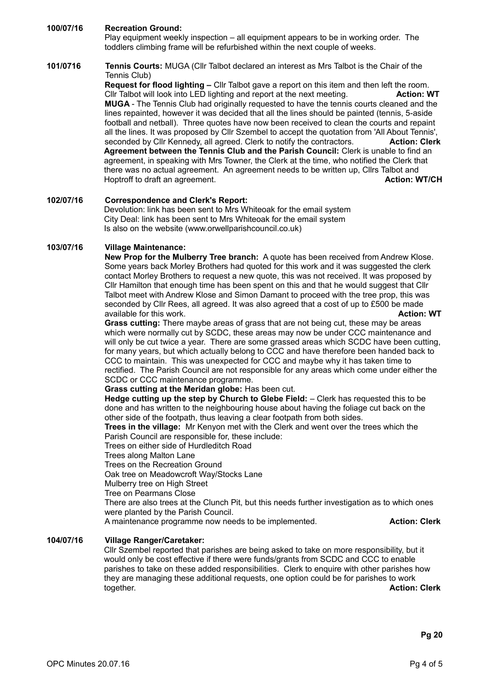### **100/07/16 Recreation Ground:**

Play equipment weekly inspection – all equipment appears to be in working order. The toddlers climbing frame will be refurbished within the next couple of weeks.

### **101/0716 Tennis Courts:** MUGA (Cllr Talbot declared an interest as Mrs Talbot is the Chair of the Tennis Club)

**Request for flood lighting –** Cllr Talbot gave a report on this item and then left the room. Cllr Talbot will look into LED lighting and report at the next meeting. **Action: WT MUGA** - The Tennis Club had originally requested to have the tennis courts cleaned and the lines repainted, however it was decided that all the lines should be painted (tennis, 5-aside football and netball). Three quotes have now been received to clean the courts and repaint all the lines. It was proposed by Cllr Szembel to accept the quotation from 'All About Tennis', seconded by Cllr Kennedy, all agreed. Clerk to notify the contractors. **Action: Clerk Agreement between the Tennis Club and the Parish Council:** Clerk is unable to find an agreement, in speaking with Mrs Towner, the Clerk at the time, who notified the Clerk that there was no actual agreement. An agreement needs to be written up, Cllrs Talbot and Hoptroff to draft an agreement. **Action: WT/CH Action: WT/CH** 

#### **102/07/16 Correspondence and Clerk's Report:** Devolution: link has been sent to Mrs Whiteoak for the email system City Deal: link has been sent to Mrs Whiteoak for the email system Is also on the website (www.orwellparishcouncil.co.uk)

## **103/07/16 Village Maintenance:**

**New Prop for the Mulberry Tree branch:** A quote has been received from Andrew Klose. Some years back Morley Brothers had quoted for this work and it was suggested the clerk contact Morley Brothers to request a new quote, this was not received. It was proposed by Cllr Hamilton that enough time has been spent on this and that he would suggest that Cllr Talbot meet with Andrew Klose and Simon Damant to proceed with the tree prop, this was seconded by Cllr Rees, all agreed. It was also agreed that a cost of up to £500 be made available for this work. **Action: WT** available for this work.

**Grass cutting:** There maybe areas of grass that are not being cut, these may be areas which were normally cut by SCDC, these areas may now be under CCC maintenance and will only be cut twice a year. There are some grassed areas which SCDC have been cutting, for many years, but which actually belong to CCC and have therefore been handed back to CCC to maintain. This was unexpected for CCC and maybe why it has taken time to rectified. The Parish Council are not responsible for any areas which come under either the SCDC or CCC maintenance programme.

**Grass cutting at the Meridan globe:** Has been cut.

**Hedge cutting up the step by Church to Glebe Field:** – Clerk has requested this to be done and has written to the neighbouring house about having the foliage cut back on the other side of the footpath, thus leaving a clear footpath from both sides.

**Trees in the village:** Mr Kenyon met with the Clerk and went over the trees which the Parish Council are responsible for, these include:

Trees on either side of Hurdleditch Road

Trees along Malton Lane

Trees on the Recreation Ground

Oak tree on Meadowcroft Way/Stocks Lane

Mulberry tree on High Street

Tree on Pearmans Close

There are also trees at the Clunch Pit, but this needs further investigation as to which ones were planted by the Parish Council.

A maintenance programme now needs to be implemented. **Action: Clerk**

#### **104/07/16 Village Ranger/Caretaker:**

Cllr Szembel reported that parishes are being asked to take on more responsibility, but it would only be cost effective if there were funds/grants from SCDC and CCC to enable parishes to take on these added responsibilities. Clerk to enquire with other parishes how they are managing these additional requests, one option could be for parishes to work together. **Action: Clerk**